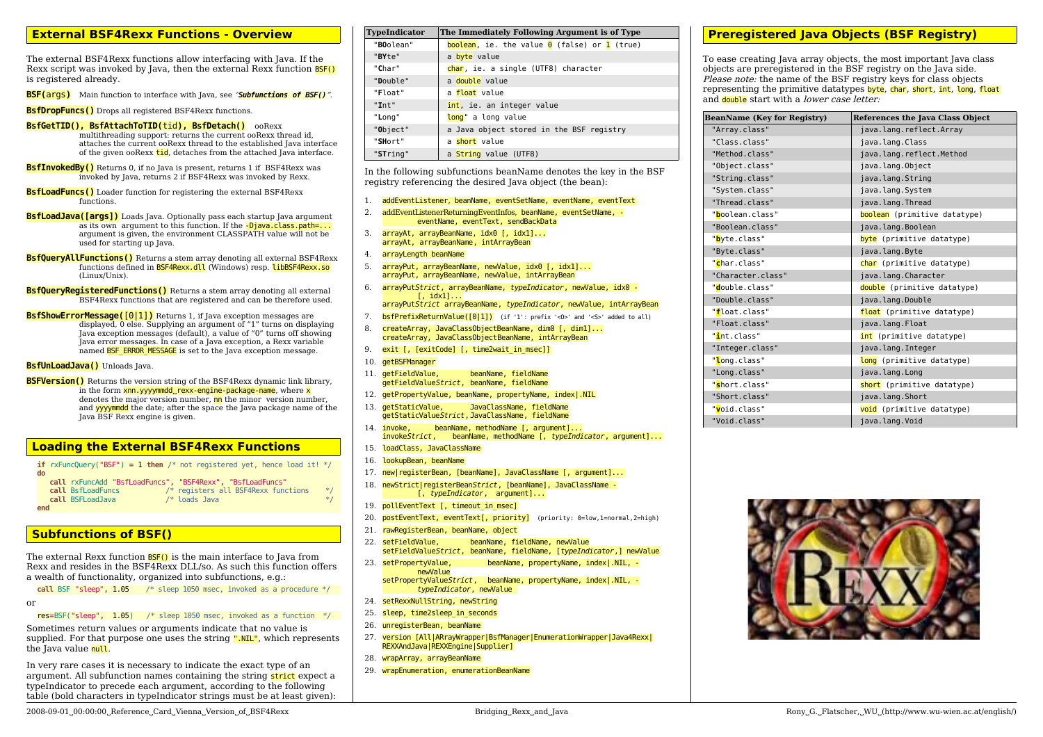### **External BSF4Rexx Functions - Overview**

The external BSF4Rexx functions allow interfacing with Java. If the Rexx script was invoked by Java, then the external Rexx function **BSF()** is registered already.

**BSF(**args**)** Main function to interface with Java, see "*Subfunctions of BSF()*".

**BsfDropFuncs()** Drops all registered BSF4Rexx functions.

#### **BsfGetTID(), BsfAttachToTID(**tid**), BsfDetach()** ooRexx

multithreading support: returns the current ooRexx thread id, attaches the current ooRexx thread to the established Java interface of the given ooRexx tid, detaches from the attached Java interface.

- **BsfInvokedBy()** Returns 0, if no Java is present, returns 1 if BSF4Rexx was invoked by Java, returns 2 if BSF4Rexx was invoked by Rexx.
- **BsfLoadFuncs()** Loader function for registering the external BSF4Rexx functions.
- **BsfLoadJava([args])** Loads Java. Optionally pass each startup Java argument as its own argument to this function. If the -Djava.class.path=... argument is given, the environment CLASSPATH value will not be used for starting up Java.
- **BsfQueryAllFunctions()** Returns a stem array denoting all external BSF4Rexx functions defined in BSF4Rexx.dll (Windows) resp. libBSF4Rexx.so (Linux/Unix).
- **BsfQueryRegisteredFunctions()** Returns a stem array denoting all external BSF4Rexx functions that are registered and can be therefore used.
- **BsfShowErrorMessage([0|1])** Returns 1, if Java exception messages are displayed, 0 else. Supplying an argument of "1" turns on displaying Java exception messages (default), a value of "0" turns off showing Java error messages. In case of a Java exception, a Rexx variable named BSF\_ERROR\_MESSAGE is set to the Java exception message.

### **BsfUnLoadJava()** Unloads Java.

**BSFVersion()** Returns the version string of the BSF4Rexx dynamic link library, in the form  $x$ nn.yyyymmdd rexx-engine-package-name, where  $x$ denotes the major version number, nn the minor version number, and yyyymmdd the date; after the space the Java package name of the Java BSF Rexx engine is given.

### **Loading the External BSF4Rexx Functions**

|               | <b>if</b> rxFuncQuery("BSF") = 1 then /* not registered yet, hence load it! */ |  |  |  |  |  |  |
|---------------|--------------------------------------------------------------------------------|--|--|--|--|--|--|
| $d\mathbf{o}$ |                                                                                |  |  |  |  |  |  |

```
 call rxFuncAdd "BsfLoadFuncs", "BSF4Rexx", "BsfLoadFuncs"
   call BsfLoadFuncs /* registers all BSF4Rexx functions */<br>
call BSFLoadJava /* loads Java */
   call BSFLoadJava
end
```
## **Subfunctions of BSF()**

The external Rexx function **BSF()** is the main interface to Java from Rexx and resides in the BSF4Rexx DLL/so. As such this function offers a wealth of functionality, organized into subfunctions, e.g.:

**call** BSF "sleep"**,** 1.05 /\* sleep 1050 msec, invoked as a procedure \*/

or

res**=**BSF("sleep"**,** 1.05) /\* sleep 1050 msec, invoked as a function \*/

Sometimes return values or arguments indicate that no value is supplied. For that purpose one uses the string ".NIL", which represents the Java value null.

In very rare cases it is necessary to indicate the exact type of an argument. All subfunction names containing the string strict expect a typeIndicator to precede each argument, according to the following table (bold characters in typeIndicator strings must be at least given):

| <b>TypeIndicator</b> | The Immediately Following Argument is of Type                      |  |  |  |  |  |  |
|----------------------|--------------------------------------------------------------------|--|--|--|--|--|--|
| "BOolean"            | <b>boolean</b> , ie. the value $\theta$ (false) or <b>1</b> (true) |  |  |  |  |  |  |
| "BYte"               | a byte value                                                       |  |  |  |  |  |  |
| "Char"               | char, ie. a single (UTF8) character                                |  |  |  |  |  |  |
| "Double"             | a double value                                                     |  |  |  |  |  |  |
| "Float"              | a float value                                                      |  |  |  |  |  |  |
| "Int"                | int, ie. an integer value                                          |  |  |  |  |  |  |
| "Long"               | long" a long value                                                 |  |  |  |  |  |  |
| "Object"             | a Java object stored in the BSF registry                           |  |  |  |  |  |  |
| "SHort"              | a short value                                                      |  |  |  |  |  |  |
| "STring"             | a String value (UTF8)                                              |  |  |  |  |  |  |

In the following subfunctions beanName denotes the key in the BSF registry referencing the desired Java object (the bean):

- 1. addEventListener, beanName, eventSetName, eventName, eventText
- 2. addEventListenerReturningEventInfos, beanName, eventSetName, eventName, eventText, sendBackData
- 3. arrayAt, arrayBeanName, idx0 [, idx1]... arrayAt, arrayBeanName, intArrayBean
- 4. arrayLength beanName
- 5. arrayPut, arrayBeanName, newValue, idx0 [, idx1]... arrayPut, arrayBeanName, newValue, intArrayBean
- 6. arrayPut*Strict*, arrayBeanName, *typeIndicator*, newValue, idx0 [, idx1]... arrayPut*Strict* arrayBeanName, *typeIndicator*, newValue, intArrayBean
- 7. **bsfPrefixReturnValue([0|1])** (if '1': prefix '<0>' and '<5>' added to all)
- 8. createArray, JavaClassObjectBeanName, dim0 [, dim1]... createArray, JavaClassObjectBeanName, intArrayBean
- 9. exit [, [exitCode] [, time2wait in msec]]
- 10. getBSFManager
- 11. getFieldValue, beanName, fieldName getFieldValue*Strict*, beanName, fieldName
- 12. getPropertyValue, beanName, propertyName, index|.NIL
- 13. getStaticValue, JavaClassName, fieldName getStaticValue*Strict*,JavaClassName, fieldName
- 14. invoke, beanName, methodName [, argument]... invoke*Strict*, beanName, methodName [, *typeIndicator*, argument]...
- 15. loadClass, JavaClassName
- 16. lookupBean, beanName
- 17. new|registerBean, [beanName], JavaClassName [, argument]...
- 18. newStrict|registerBean*Strict*, [beanName], JavaClassName [, *typeIndicator*, argument]...
- 19. pollEventText [, timeout in msec]
- 20. postEventText, eventText[, priority] (priority: 0=low,1=normal,2=high)
- 21. rawRegisterBean, beanName, object
- 22. setFieldValue, beanName, fieldName, newValue setFieldValue*Strict*, beanName, fieldName, [*typeIndicator*,] newValue
- 23. setPropertyValue, beanName, propertyName, index|.NIL, newValue setPropertyValue*Strict*, beanName, propertyName, index|.NIL, *typeIndicator*, newValue
- 24. setRexxNullString, newString
- 25. sleep, time2sleep\_in\_seconds
- 26. unregisterBean, beanName
- 27. version [All|ARrayWrapper|BsfManager|EnumerationWrapper|Java4Rexx| REXXAndJava|REXXEngine|Supplier]
- 28. wrapArray, arrayBeanName
- 29. wrapEnumeration, enumerationBeanName

## **Preregistered Java Objects (BSF Registry)**

To ease creating Java array objects, the most important Java class objects are preregistered in the BSF registry on the Java side. Please note: the name of the BSF registry keys for class objects representing the primitive datatypes byte, char, short, int, long, float and **double** start with a *lower case letter:* 

| <b>BeanName (Key for Registry)</b> | References the Java Class Object |
|------------------------------------|----------------------------------|
| "Array.class"                      | java.lang.reflect.Array          |
| "Class.class"                      | java.lang.Class                  |
| "Method.class"                     | java.lang.reflect.Method         |
| "Object.class"                     | java.lang.Object                 |
| "String.class"                     | java.lang.String                 |
| "System.class"                     | java.lang.System                 |
| "Thread.class"                     | java.lang.Thread                 |
| " <mark>b</mark> oolean.class"     | boolean (primitive datatype)     |
| "Boolean.class"                    | java.lang.Boolean                |
| " <mark>b</mark> yte.class"        | byte (primitive datatype)        |
| "Byte.class"                       | java.lang.Byte                   |
| " <mark>c</mark> har.class"        | char (primitive datatype)        |
| "Character.class"                  | java.lang.Character              |
| " <mark>d</mark> ouble.class"      | double (primitive datatype)      |
| "Double.class"                     | java.lang.Double                 |
| " <mark>f</mark> loat.class"       | float (primitive datatype)       |
| "Float.class"                      | java.lang.Float                  |
| " <mark>i</mark> nt.class"         | int (primitive datatype)         |
| "Integer.class"                    | java.lang.Integer                |
| " <mark>l</mark> ong.class"        | long (primitive datatype)        |
| "Long.class"                       | java.lang.Long                   |
| " <mark>s</mark> hort.class"       | short (primitive datatype)       |
| "Short.class"                      | java.lang.Short                  |
| " <mark>v</mark> oid.class"        | void (primitive datatype)        |
| "Void.class"                       | java.lang.Void                   |